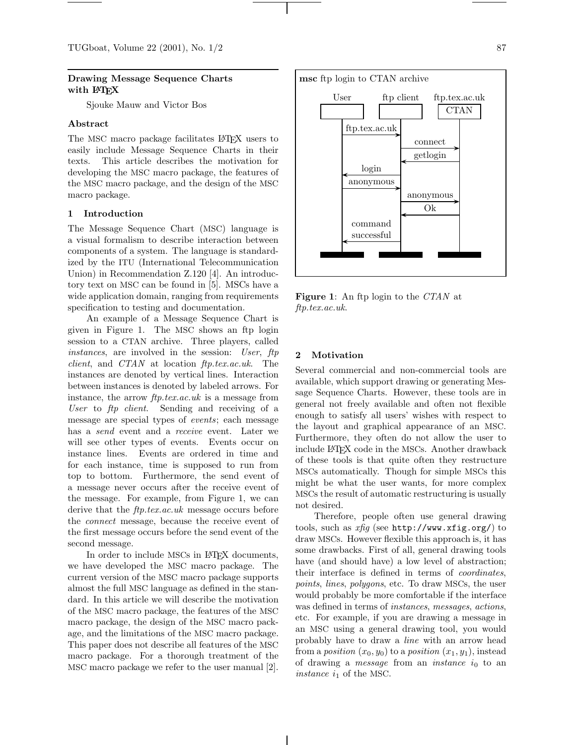# **Drawing Message Sequence Charts with LATEX**

Sjouke Mauw and Victor Bos

# **Abstract**

The MSC macro package facilitates LATEX users to easily include Message Sequence Charts in their texts. This article describes the motivation for developing the MSC macro package, the features of the MSC macro package, and the design of the MSC macro package.

# **1 Introduction**

The Message Sequence Chart (MSC) language is a visual formalism to describe interaction between components of a system. The language is standardized by the ITU (International Telecommunication Union) in Recommendation Z.120 [4]. An introductory text on MSC can be found in [5]. MSCs have a wide application domain, ranging from requirements specification to testing and documentation.

An example of a Message Sequence Chart is given in Figure 1. The MSC shows an ftp login session to a CTAN archive. Three players, called *instances*, are involved in the session: *User*, *ftp client*, and *CTAN* at location *ftp.tex.ac.uk*. The instances are denoted by vertical lines. Interaction between instances is denoted by labeled arrows. For instance, the arrow *ftp.tex.ac.uk* is a message from *User* to *ftp client*. Sending and receiving of a message are special types of *events*; each message has a *send* event and a *receive* event. Later we will see other types of events. Events occur on instance lines. Events are ordered in time and for each instance, time is supposed to run from top to bottom. Furthermore, the send event of a message never occurs after the receive event of the message. For example, from Figure 1, we can derive that the *ftp.tex.ac.uk* message occurs before the *connect* message, because the receive event of the first message occurs before the send event of the second message.

In order to include MSCs in LAT<sub>EX</sub> documents, we have developed the MSC macro package. The current version of the MSC macro package supports almost the full MSC language as defined in the standard. In this article we will describe the motivation of the MSC macro package, the features of the MSC macro package, the design of the MSC macro package, and the limitations of the MSC macro package. This paper does not describe all features of the MSC macro package. For a thorough treatment of the MSC macro package we refer to the user manual [2].



**Figure 1**: An ftp login to the *CTAN* at *ftp.tex.ac.uk*.

# **2 Motivation**

Several commercial and non-commercial tools are available, which support drawing or generating Message Sequence Charts. However, these tools are in general not freely available and often not flexible enough to satisfy all users' wishes with respect to the layout and graphical appearance of an MSC. Furthermore, they often do not allow the user to include LAT<sub>EX</sub> code in the MSCs. Another drawback of these tools is that quite often they restructure MSCs automatically. Though for simple MSCs this might be what the user wants, for more complex MSCs the result of automatic restructuring is usually not desired.

Therefore, people often use general drawing tools, such as *xfig* (see http://www.xfig.org/) to draw MSCs. However flexible this approach is, it has some drawbacks. First of all, general drawing tools have (and should have) a low level of abstraction; their interface is defined in terms of *coordinates*, *points*, *lines*, *polygons*, etc . To draw MSCs, the user would probably be more comfortable if the interface was defined in terms of *instances*, *messages*, *actions*, etc. For example, if you are drawing a message in an MSC using a general drawing tool, you would probably have to draw a *line* with an arrow head from a *position*  $(x_0, y_0)$  to a *position*  $(x_1, y_1)$ , instead of drawing a *message* from an *instance i*<sup>0</sup> to an *instance*  $i_1$  of the MSC.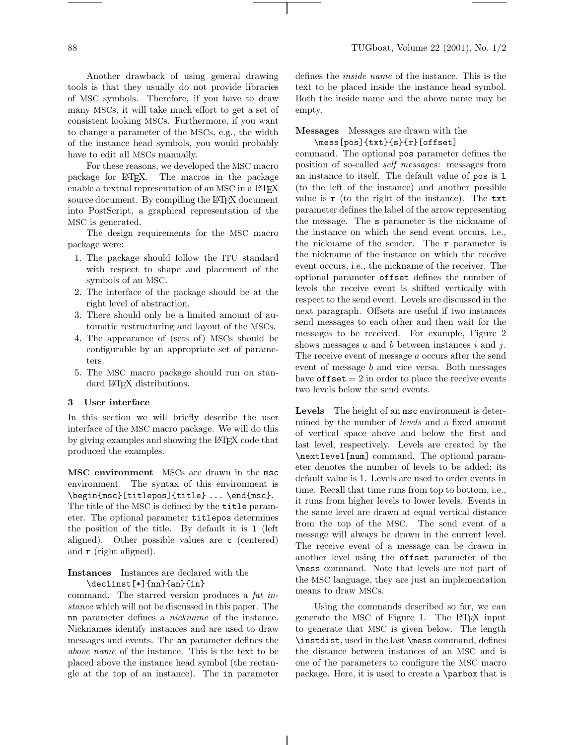Another drawback of using general drawing tools is that they usually do not provide libraries of MSC symbols. Therefore, if you have to draw many MSCs, it will take much effort to get a set of consistent looking MSCs. Furthermore, if you want to change a parameter of the MSCs, e.g., the width of the instance head symbols, you would probably have to edit all MSCs manually.

For these reasons, we developed the MSC macro package for LAT<sub>EX</sub>. The macros in the package enable a textual representation of an MSC in a LAT<sub>EX</sub> source document. By compiling the LAT<sub>EX</sub> document into PostScript, a graphical representation of the MSC is generated.

The design requirements for the MSC macro package were:

- 1. The package should follow the ITU standard with respect to shape and placement of the symbols of an MSC.
- 2. The interface of the package should be at the right level of abstraction.
- 3. There should only be a limited amount of automatic restructuring and layout of the MSCs.
- 4. The appearance of (sets of) MSCs should be configurable by an appropriate set of parameters.
- 5. The MSC macro package should run on standard LAT<sub>F</sub>X distributions.

#### **3 User interface**

In this section we will briefly describe the user interface of the MSC macro package. We will do this by giving examples and showing the LAT<sub>EX</sub> code that produced the examples.

**MSC environment** MSCs are drawn in the msc environment. The syntax of this environment is \begin{msc}[titlepos]{title} ... \end{msc}. The title of the MSC is defined by the title parameter. The optional parameter titlepos determines the position of the title. By default it is l (left aligned). Other possible values are c (centered) and r (right aligned).

# **Instances** Instances are declared with the \declinst[\*]{nn}{an}{in}

command. The starred version produces a *fat instance* which will not be discussed in this paper. The nn parameter defines a *nickname* of the instance. Nicknames identify instances and are used to draw messages and events. The an parameter defines the *above name* of the instance. This is the text to be placed above the instance head symbol (the rectangle at the top of an instance). The in parameter

defines the *inside name* of the instance. This is the text to be placed inside the instance head symbol. Both the inside name and the above name may be empty.

#### **Messages** Messages are drawn with the \mess[pos]{txt}{s}{r}[offset]

command. The optional pos parameter defines the position of so-called *self messages*: messages from an instance to itself. The default value of pos is l (to the left of the instance) and another possible value is  $\mathbf r$  (to the right of the instance). The  $\mathsf{txt}$ parameter defines the label of the arrow representing the message. The s parameter is the nickname of the instance on which the send event occurs, i.e., the nickname of the sender. The r parameter is the nickname of the instance on which the receive event occurs, i.e., the nickname of the receiver. The optional parameter offset defines the number of levels the receive event is shifted vertically with respect to the send event. Levels are discussed in the next paragraph. Offsets are useful if two instances send messages to each other and then wait for the messages to be received. For example, Figure 2 shows messages *a* and *b* between instances *i* and *j*. The receive event of message *a* occurs after the send event of message *b* and vice versa. Both messages have  $offset = 2$  in order to place the receive events two levels below the send events.

**Levels** The height of an msc environment is determined by the number of *levels* and a fixed amount of vertical space above and below the first and last level, respectively. Levels are created by the \nextlevel[num] command. The optional parameter denotes the number of levels to be added; its default value is 1. Levels are used to order events in time. Recall that time runs from top to bottom, i.e., it runs from higher levels to lower levels. Events in the same level are drawn at equal vertical distance from the top of the MSC. The send event of a message will always be drawn in the current level. The receive event of a message can be drawn in another level using the offset parameter of the \mess command. Note that levels are not part of the MSC language, they are just an implementation means to draw MSCs.

Using the commands described so far, we can generate the MSC of Figure 1. The LATEX input to generate that MSC is given below. The length \instdist, used in the last \mess command, defines the distance between instances of an MSC and is one of the parameters to configure the MSC macro package. Here, it is used to create a \parbox that is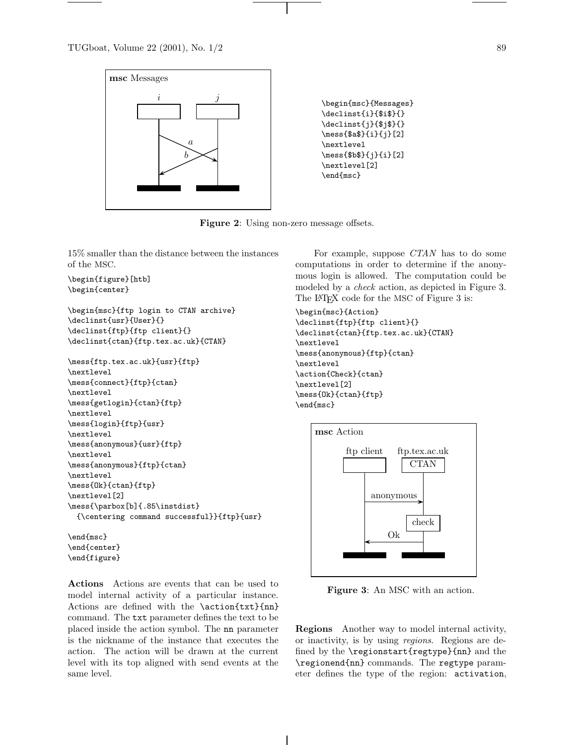

Figure 2: Using non-zero message offsets.

15% smaller than the distance between the instances of the MSC.

```
\begin{figure}[htb]
\begin{center}
```

```
\begin{msc}{ftp login to CTAN archive}
\declinst{usr}{User}{}
\declinst{ftp}{ftp client}{}
\declinst{ctan}{ftp.tex.ac.uk}{CTAN}
```

```
\mess{ftp.tex.ac.uk}{usr}{ftp}
\nextlevel
\mess{connect}{ftp}{ctan}
\nextlevel
\mess{getlogin}{ctan}{ftp}
\nextlevel
\mess{login}{ftp}{usr}
\nextlevel
\mess{anonymous}{usr}{ftp}
\nextlevel
\mess{anonymous}{ftp}{ctan}
\nextlevel
\mess{Ok}{ctan}{ftp}
\nextlevel[2]
\mess{\parbox[b]{.85\instdist}
  {\centering command successful}}{ftp}{usr}
```
\end{msc} \end{center} \end{figure}

**Actions** Actions are events that can be used to model internal activity of a particular instance. Actions are defined with the \action{txt}{nn} command. The txt parameter defines the text to be placed inside the action symbol. The nn parameter is the nickname of the instance that executes the action. The action will be drawn at the current level with its top aligned with send events at the same level.

For example, suppose *CTAN* has to do some computations in order to determine if the anonymous login is allowed. The computation could be modeled by a *check* action, as depicted in Figure 3. The L<sup>AT</sup>EX code for the MSC of Figure 3 is:

```
\begin{msc}{Action}
\declinst{ftp}{ftp client}{}
\declinst{ctan}{ftp.tex.ac.uk}{CTAN}
\nextlevel
\mess{anonymous}{ftp}{ctan}
\nextlevel
\action{Check}{ctan}
\nextlevel[2]
\mess{Ok}{ctan}{ftp}
\end{msc}
```


**Figure 3**: An MSC with an action.

**Regions** Another way to model internal activity, or inactivity, is by using *regions*. Regions are defined by the \regionstart{regtype}{nn} and the \regionend{nn} commands. The regtype parameter defines the type of the region: activation,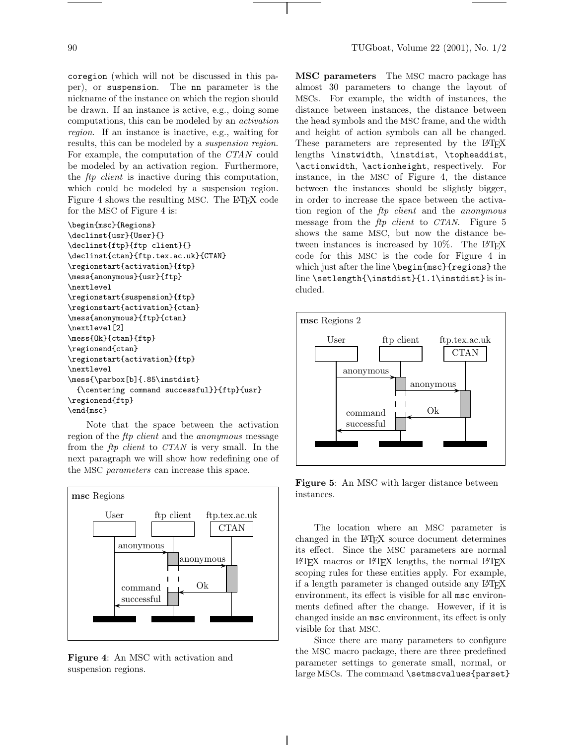coregion (which will not be discussed in this paper), or suspension. The nn parameter is the nickname of the instance on which the region should be drawn. If an instance is active, e.g., doing some computations, this can be modeled by an *activation region*. If an instance is inactive, e.g., waiting for results, this can be modeled by a *suspension region*. For example, the computation of the *CTAN* could be modeled by an activation region. Furthermore, the *ftp client* is inactive during this computation, which could be modeled by a suspension region. Figure 4 shows the resulting MSC. The LATEX code for the MSC of Figure 4 is:

```
\begin{msc}{Regions}
\declinst{usr}{User}{}
\declinst{ftp}{ftp client}{}
\declinst{ctan}{ftp.tex.ac.uk}{CTAN}
\regionstart{activation}{ftp}
\mess{anonymous}{usr}{ftp}
\nextlevel
\regionstart{suspension}{ftp}
\regionstart{activation}{ctan}
\mess{anonymous}{ftp}{ctan}
\nextlevel[2]
\mess{Ok}{ctan}{ftp}
\regionend{ctan}
\regionstart{activation}{ftp}
\nextlevel
\mess{\parbox[b]{.85\instdist}
  {\centering command successful}}{ftp}{usr}
\regionend{ftp}
\end{msc}
```
Note that the space between the activation region of the *ftp client* and the *anonymous* message from the *ftp client* to *CTAN* is very small. In the next paragraph we will show how redefining one of the MSC *parameters* can increase this space.



**Figure 4**: An MSC with activation and suspension regions.

**MSC parameters** The MSC macro package has almost 30 parameters to change the layout of MSCs. For example, the width of instances, the distance between instances, the distance between the head symbols and the MSC frame, and the width and height of action symbols can all be changed. These parameters are represented by the LAT<sub>EX</sub> lengths \instwidth, \instdist, \topheaddist, \actionwidth, \actionheight, respectively. For instance, in the MSC of Figure 4, the distance between the instances should be slightly bigger, in order to increase the space between the activation region of the *ftp client* and the *anonymous* message from the *ftp client* to *CTAN*. Figure 5 shows the same MSC, but now the distance between instances is increased by  $10\%$ . The LAT<sub>EX</sub> code for this MSC is the code for Figure 4 in which just after the line \begin{msc}{regions} the line \setlength{\instdist}{1.1\instdist} is included.



**Figure 5**: An MSC with larger distance between instances.

The location where an MSC parameter is changed in the LATEX source document determines its effect. Since the MSC parameters are normal  $\Delta M$ FX macros or  $\Delta M$ FX lengths, the normal  $\Delta M$ FX scoping rules for these entities apply. For example, if a length parameter is changed outside any LAT<sub>EX</sub> environment, its effect is visible for all msc environments defined after the change. However, if it is changed inside an msc environment, its effect is only visible for that MSC.

Since there are many parameters to configure the MSC macro package, there are three predefined parameter settings to generate small, normal, or large MSCs. The command \setmscvalues{parset}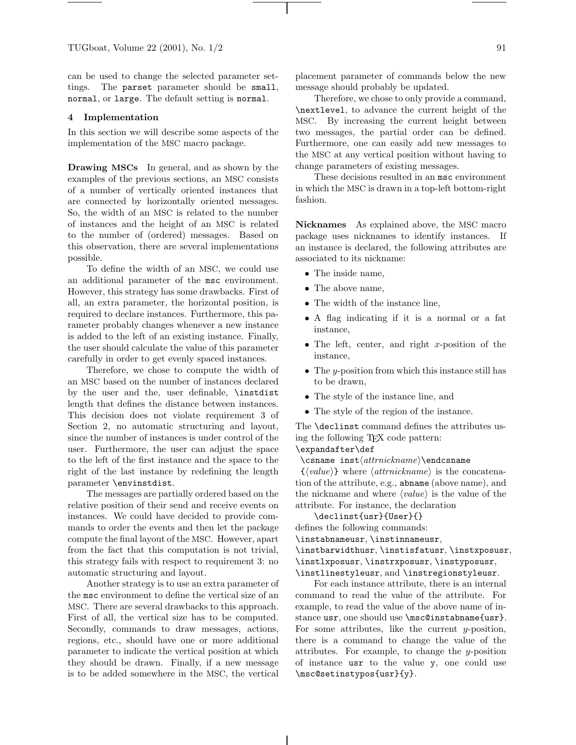can be used to change the selected parameter settings. The parset parameter should be small, normal, or large. The default setting is normal.

#### **4 Implementation**

In this section we will describe some aspects of the implementation of the MSC macro package.

**Drawing MSCs** In general, and as shown by the examples of the previous sections, an MSC consists of a number of vertically oriented instances that are connected by horizontally oriented messages. So, the width of an MSC is related to the number of instances and the height of an MSC is related to the number of (ordered) messages. Based on this observation, there are several implementations possible.

To define the width of an MSC, we could use an additional parameter of the msc environment. However, this strategy has some drawbacks. First of all, an extra parameter, the horizontal position, is required to declare instances. Furthermore, this parameter probably changes whenever a new instance is added to the left of an existing instance. Finally, the user should calculate the value of this parameter carefully in order to get evenly spaced instances.

Therefore, we chose to compute the width of an MSC based on the number of instances declared by the user and the, user definable, \instdist length that defines the distance between instances. This decision does not violate requirement 3 of Section 2, no automatic structuring and layout, since the number of instances is under control of the user. Furthermore, the user can adjust the space to the left of the first instance and the space to the right of the last instance by redefining the length parameter \envinstdist.

The messages are partially ordered based on the relative position of their send and receive events on instances. We could have decided to provide commands to order the events and then let the package compute the final layout of the MSC. However, apart from the fact that this computation is not trivial, this strategy fails with respect to requirement 3: no automatic structuring and layout.

Another strategy is to use an extra parameter of the msc environment to define the vertical size of an MSC. There are several drawbacks to this approach. First of all, the vertical size has to be computed. Secondly, commands to draw messages, actions, regions, etc., should have one or more additional parameter to indicate the vertical position at which they should be drawn. Finally, if a new message is to be added somewhere in the MSC, the vertical placement parameter of commands below the new message should probably be updated.

Therefore, we chose to only provide a command, \nextlevel, to advance the current height of the MSC. By increasing the current height between two messages, the partial order can be defined. Furthermore, one can easily add new messages to the MSC at any vertical position without having to change parameters of existing messages.

These decisions resulted in an msc environment in which the MSC is drawn in a top-left bottom-right fashion.

**Nicknames** As explained above, the MSC macro package uses nicknames to identify instances. If an instance is declared, the following attributes are associated to its nickname:

- The inside name,
- The above name.
- The width of the instance line,
- A flag indicating if it is a normal or a fat instance,
- The left, center, and right *x*-position of the instance,
- The *y*-position from which this instance still has to be drawn,
- The style of the instance line, and
- The style of the region of the instance.

The \declinst command defines the attributes using the following TEX code pattern:

# \expandafter\def

\csname inst\attrnickname\\endcsname

 $\{\langle value \rangle\}$  where  $\langle attribute$  is the concatenation of the attribute, e.g., abname (above name), and the nickname and where  $\langle value \rangle$  is the value of the attribute. For instance, the declaration

\declinst{usr}{User}{}

defines the following commands:

\instabnameusr, \instinnameusr,

- \instbarwidthusr, \instisfatusr, \instxposusr,
- \instlxposusr, \instrxposusr, \instyposusr,
- \instlinestyleusr, and \instregionstyleusr.

For each instance attribute, there is an internal command to read the value of the attribute. For example, to read the value of the above name of instance usr, one should use \msc@instabname{usr}. For some attributes, like the current *y*-position, there is a command to change the value of the attributes. For example, to change the *y*-position of instance usr to the value y, one could use \msc@setinstypos{usr}{y}.